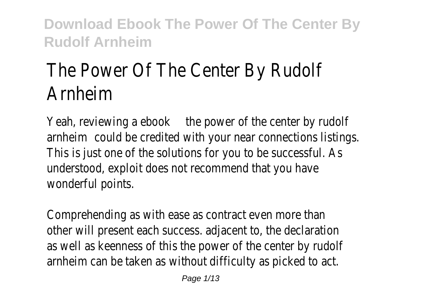# The Power Of The Center By Rudolf Arnheim

Yeah, reviewing atbequewer of the center by rudolf arnheim puld be credited with your near connections. This is just one of the solutions for you to be understood, exploit does not recommend that wonderful points.

Comprehending as with ease as contract even other will present each success. adjacent to, the as well as keenness of this the power of the c arnheim can be taken as without difficulty as portally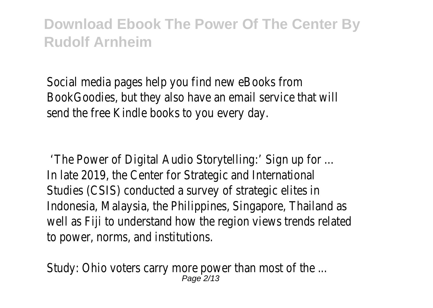Social media pages help you find new eBooks from BookGoodies, but they also have an email service send the free Kindle books to you every day.

'The Power of Digital Audio Storytelling:' Sign u In late 2019, the Center for Strategic and Inte Studies (CSIS) conducted a survey of strategic Indonesia, Malaysia, the Philippines, Singapore, Thailand as well as Fiji to understand how the region views to power, norms, and institutions.

Study: Ohio voters carry more power than most Page 2/13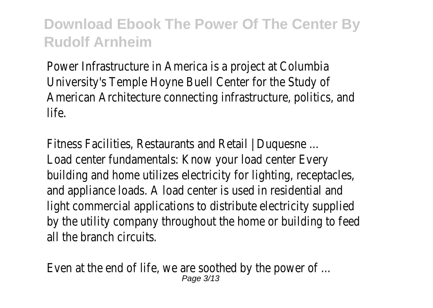Power Infrastructure in America is a project at University's Temple Hoyne Buell Center for the American Architecture connecting infrastructure life.

Fitness Facilities, Restaurants and Retail | Duquest Load center fundamentals: Know your load center building and home utilizes electricity for lighting and appliance loads. A load center is used in rest light commercial applications to distribute electricity by the utility company throughout the home or all the branch circuits.

Even at the end of life, we are soothed by the Page 3/13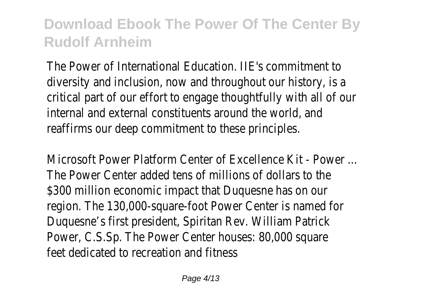The Power of International Education. IIE's commitment diversity and inclusion, now and throughout our critical part of our effort to engage thoughtfully internal and external constituents around the y reaffirms our deep commitment to these principles.

Microsoft Power Platform Center of Excellence The Power Center added tens of millions of do \$300 million economic impact that Duquesne h region. The 130,000-square-foot Power Center Duquesne's first president, Spiritan Rev. William Power, C.S.Sp. The Power Center houses: 80,00 feet dedicated to recreation and fitness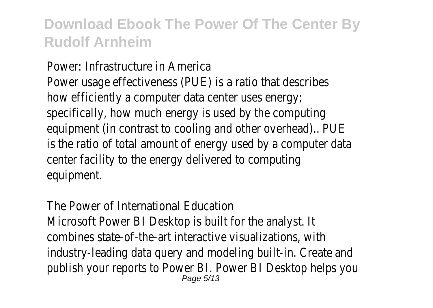Power: Infrastructure in America Power usage effectiveness (PUE) is a ratio that how efficiently a computer data center uses en specifically, how much energy is used by the computer equipment (in contrast to cooling and other over is the ratio of total amount of energy used by center facility to the energy delivered to comp equipment.

The Power of International Education Microsoft Power BI Desktop is built for the an combines state-of-the-art interactive visualizations, combines industry-leading data query and modeling builtpublish your reports to Power BI. Power BI Des Page 5/13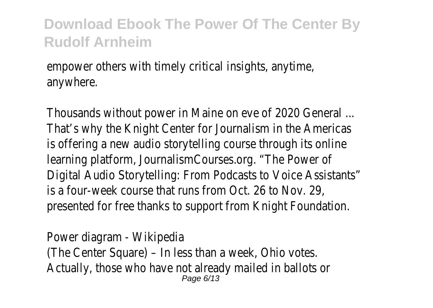empower others with timely critical insights, any anywhere.

Thousands without power in Maine on eve of 2 That's why the Knight Center for Journalism in is offering a new audio storytelling course through learning platform, JournalismCourses.org. "The Power of Digital Audio Storytelling: From Podcasts to Voi is a four-week course that runs from Oct. 26 presented for free thanks to support from Knight

Power diagram - Wikipedia (The Center Square) – In less than a week, Ohio Actually, those who have not already mailed in Page 6/13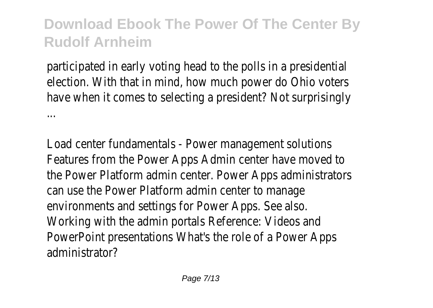participated in early voting head to the polls in election. With that in mind, how much power do have when it comes to selecting a president? I ...

Load center fundamentals - Power management Features from the Power Apps Admin center have the Power Platform admin center. Power Apps can use the Power Platform admin center to m environments and settings for Power Apps. See Working with the admin portals Reference: Videos PowerPoint presentations What's the role of a administrator?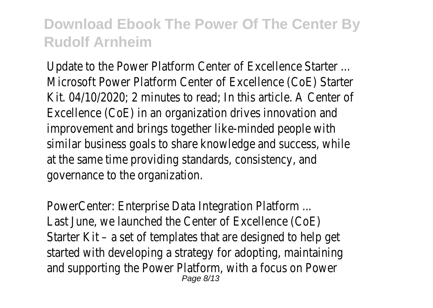Update to the Power Platform Center of Excell Microsoft Power Platform Center of Excellence Kit.  $04/10/2020$ ; 2 minutes to read; In this article. Excellence (CoE) in an organization drives innov improvement and brings together like-minded people with an similar business goals to share knowledge and at the same time providing standards, consistent governance to the organization.

PowerCenter: Enterprise Data Integration Platf Last June, we launched the Center of Excellend Starter Kit – a set of templates that are designed to  $h$ started with developing a strategy for adoptin and supporting the Power Platform, with a focus Page 8/13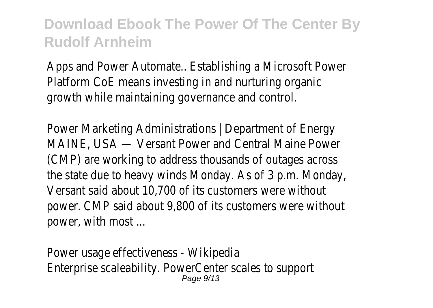Apps and Power Automate.. Establishing a Microsoft Power Automate.. Platform CoE means investing in and nurturing growth while maintaining governance and contraction.

Power Marketing Administrations | Department MAINE, USA — Versant Power and Central Mair (CMP) are working to address thousands of out the state due to heavy winds Monday. As of 3 Versant said about 10,700 of its customers w power. CMP said about 9,800 of its customers power, with most ...

Power usage effectiveness - Wikipedia Enterprise scaleability. PowerCenter scales to s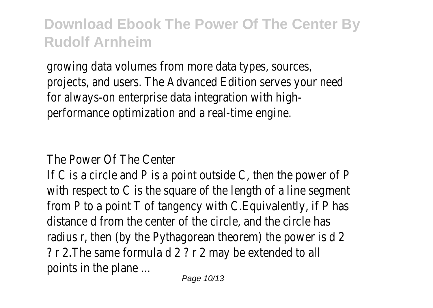growing data volumes from more data types, so projects, and users. The Advanced Edition serve for always-on enterprise data integration with performance optimization and a real-time engine

The Power Of The Center

If C is a circle and P is a point outside C, then with respect to C is the square of the length from  $P$  to a point  $T$  of tangency with C. Equival distance d from the center of the circle, and the radius r, then (by the Pythagorean theorem) the  $?$  r 2. The same formula d  $2$   $?$  r  $2$  may be extend points in the plane ...

Page 10/13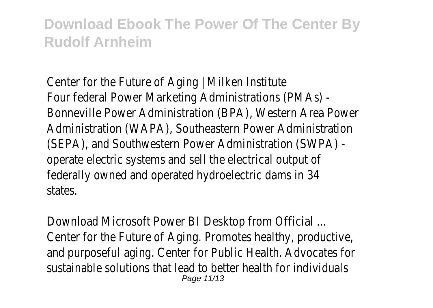Center for the Future of Aging  $\vert$  Milken Institution Four federal Power Marketing Administrations Bonneville Power Administration (BPA), Western Administration (WAPA), Southeastern Power Administration (WAPA), Southeastern Power (SEPA), and Southwestern Power Administration operate electric systems and sell the electrical federally owned and operated hydroelectric dar states.

Download Microsoft Power BI Desktop from O Center for the Future of Aging. Promotes health and purposeful aging. Center for Public Health. sustainable solutions that lead to better health Page 11/13